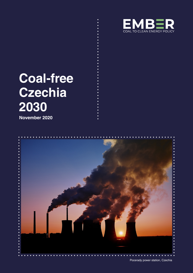

# **Coal-free Czechia 2030**

**November 2020**



Pocerady power station, Czechia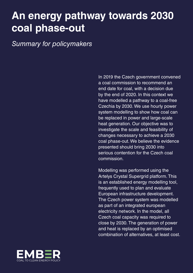#### **An energy pathway towards 2030 coal phase-out**

*Summary for policymakers*

In 2019 the Czech government convened a coal commission to recommend an end date for coal, with a decision due by the end of 2020. In this context we have modelled a pathway to a coal-free Czechia by 2030. We use hourly power system modelling to show how coal can be replaced in power and large-scale heat generation. Our objective was to investigate the scale and feasibility of changes necessary to achieve a 2030 coal phase-out. We believe the evidence presented should bring 2030 into serious contention for the Czech coal commission.

Modelling was performed using the Artelys Crystal Supergrid platform. This is an established energy modelling tool, frequently used to plan and evaluate European infrastructure development. The Czech power system was modelled as part of an integrated european electricity network. In the model, all Czech coal capacity was required to close by 2030. The generation of power and heat is replaced by an optimised combination of alternatives, at least cost.

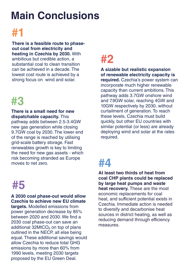## **Main Conclusions**



**There is a feasible route to phaseout coal from electricity and heating in Czechia by 2030.** With ambitious but credible action, a substantial coal to clean transition can be achieved in a decade. The lowest cost route is achieved by a strong focus on wind and solar.

#### **#3**

**There is a small need for new dispatchable capacity.** This pathway adds between 2.5-3.4GW new gas generation while closing 9.7GW coal by 2030. The lower end of the range is reached by utilising grid-scale battery storage. Fast renewables growth is key to limiting the need for new gas assets - which risk becoming stranded as Europe moves to net zero.

# **#5**

**A 2030 coal phase-out would allow Czechia to achieve new EU climate targets.** Modelled emissions from

power generation decrease by 85% between 2020 and 2030. We find a 2030 coal phase-out can save an additional  $32MtCO<sub>2</sub>$  on top of plans outlined in the NECP, all else being equal. These additional savings would allow Czechia to reduce total GHG emissions by more than 60% from 1990 levels, meeting 2030 targets proposed by the EU Green Deal.

## **#2**

**A sizable but realistic expansion of renewable electricity capacity is required.** Czechia's power system can incorporate much higher renewable capacity than current ambitions. This pathway adds 3.7GW onshore wind and 7.9GW solar, reaching 4GW and 10GW respectively by 2030, without curtailment of generation. To reach these levels, Czechia must build quickly, but other EU countries with similar potential (or less) are already deploying wind and solar at the rates required.

# **#4**

**At least two thirds of heat from coal CHP plants could be replaced by large heat pumps and waste heat recovery.** These are the most economic replacements for coal heat, and sufficient potential exists in Czechia. Immediate action is needed to diversify and decarbonise heat sources in district heating, as well as reducing demand through efficiency measures.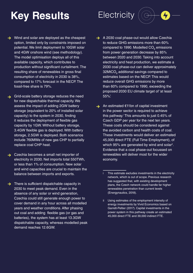# **Key Results**

- **Electricity**
- $\rightarrow$  Wind and solar are deployed as the cheapest option, limited only by constraints imposed on potential. We limit deployment to 10GW solar and 4GW onshore wind (see methodology). The model optimisation deploys all of this available capacity, which contributes to production without significant curtailment. The resulting share of renewables in gross final consumption of electricity in 2030 is 38%, compared to 17% forecast in the NECP. The fossil-free share is 79%.
- Grid-scale battery storage reduces the need for new dispatchable thermal capacity. We assess the impact of adding 2GW battery storage (equivalent to 20% of installed solar capacity) to the system in 2030, finding it reduces the deployment of flexible gas capacity by 1GW. Without battery storage, 3.4GW flexible gas is deployed. With battery storage, 2.5GW is deployed. Both scenarios include 760MWe of new gas CHP to partially replace coal CHP heat.
- Solution 2 Czechia becomes a small net importer of electricity in 2030. Net imports total 550TWh, or less than 1% of consumption. New solar and wind capacities are crucial to maintain the balance between imports and exports.
- $\rightarrow$  There is sufficient dispatchable capacity in 2030 to meet peak demand. Even in the absence of any solar or wind generation, Czechia could still generate enough power to cover demand in any hour across all modelled years and weather conditions. After phasing out coal and adding flexible gas (or gas and batteries), the system has at least 13.3GW dispatchable capacity, whereas modelled peak demand reaches 12.6GW.
- $\rightarrow$  A 2030 coal phase-out would allow Czechia to reduce GHG emissions more than 60% compared to 1990. Modelled  $CO<sub>2</sub>$  emissions from power generation decrease by 85% between 2020 and 2030. Taking into account electricity and heat production, we estimate a 2030 coal phase-out can deliver approximately  $32$ MtCO<sub>2</sub> additional savings compared to estimates based on the NECP. This would reduce overall GHG emissions by more than 60% compared to 1990, exceeding the proposed 2030 EU climate target of 'at least 55%'.
- An estimated  $\epsilon$ 11bn of capital investment in the power sector is required to achieve this pathway.i This amounts to just 0.45% of Czech GDP per year for the next ten years. These costs should be considered against the avoided carbon and health costs of coal. These investments would deliver an estimated 45,000 direct FTE (Full Time Employment), of which 95% are generated by wind and solar<sup>ii</sup>. Evidence that a coal phase-out focussed on renewables will deliver most for the wider economy.
	- This estimate excludes investments in the electricity network, which is out of scope. Previous research has suggested that, with existing development plans, the Czech network could handle far higher renewables penetration than current levels (Energynautics, 2018).
	- ii Using estimates of the employment intensity of energy investments by Vivid Economics based on Garrett-Peltier (2017). Capital investments in the power system in this pathway create an estimated 45,000 direct FTE and 39,000 indirect FTE.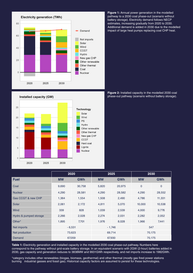

Installed capacity (GW)



**Figure 1:** Annual power generation in the modelled pathway to a 2030 coal phase-out (scenario without battery storage). Electricity demand follows NECP estimates, increasing gradually from 2020 to 2030. Additional demand is added in 2030 due to the modelled impact of large heat pumps replacing coal CHP heat.

**Figure 2:** Installed capacity in the modelled 2030 coal phase-out pathway (scenario without battery storage).

|                        | 2020      |            | 2025      |            | 2030        |             |
|------------------------|-----------|------------|-----------|------------|-------------|-------------|
| <b>Fuel</b>            | <b>MW</b> | <b>GWh</b> | <b>MW</b> | <b>GWh</b> | <b>MW</b>   | <b>GWh</b>  |
| Coal                   | 9,690     | 30,758     | 5,820     | 20,975     | $\mathbf 0$ | $\mathbf 0$ |
| <b>Nuclear</b>         | 4,290     | 28,581     | 4,290     | 28,582     | 4,290       | 28,552      |
| Gas CCGT & new CHP     | 1,364     | 1,554      | 1,508     | 2,490      | 4,786       | 11,331      |
| Solar                  | 2,061     | 2,172      | 4,811     | 5,070      | 10,000      | 10,538      |
| Wind                   | 339       | 828        | 1,039     | 2,539      | 4,000       | 9,776       |
| Hydro & pumped storage | 2,266     | 2,028      | 2,274     | 2,031      | 2,282       | 2,052       |
| Other*                 | 1,895     | 7,701      | 1,976     | 8,028      | 1,966       | 7,441       |
| Net imports            | $-6,531$  |            | $-1,746$  |            | 547         |             |
| Net production         | 73,623    |            | 69,714    |            | 70,175      |             |
| Demand                 | 67,059    |            | 67,930    |            | 70,175      |             |

**Table 1:** Electricity generation and installed capacity in the modelled 2030 coal phase-out pathway. Numbers here correspond to the pathway without grid-scale battery storage. In an equivalent scenario with 2GW (2-hour) batteries added in 2030, gas capacity and generation reduces to 3838MW and 9931GWh respectively, and net imports increase to 1982GWh.

\*category includes other renewables (biogas, biomass, geothermal) and other thermal (mostly gas fired power stations burning industrial gasses and fossil gas). Historical capacity factors are assumed to persist for these technologies.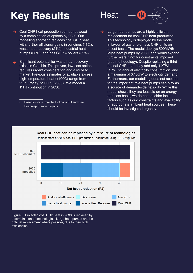# **Key Results** Heat

- Coal CHP heat production can be replaced by a combination of options by 2030. Our modelling approach replaces coal CHP heat with: further efficiency gains in buildings (11%), waste heat recovery (24%), industrial heat pumps (33%), and gas CHP + boilers (32%).
- Significant potential for waste heat recovery  $\rightarrow$ exists in Czechia. This proven, low-cost option requires urgent consideration and a route to market. Previous estimates of available excess high-temperature heat (>100C) range from 22PJ (today) to 35PJ (2050).<sup>†</sup> We model a 11PJ contribution in 2030.

i Based on data from the Hotmaps EU and Heat Roadmap Europe projects.



Large heat pumps are a highly efficient replacement for coal CHP heat production. This technology is deployed by the model in favour of gas or biomass CHP units on a cost basis. The model deploys 500MWth large heat pumps by 2030, and would expand further were it not for constraints imposed (see methodology). Despite replacing a third of coal CHP heat, they add only 1.2TWh (1.7%) to annual electricity consumption, and a maximum of 0.15GW to electricity demand. Furthermore, our modelling does not account for the important role heat pumps can play as a source of demand-side flexibility. While this model shows they are feasible on an energy and cost basis, we do not consider local factors such as grid constraints and availability of appropriate ambient heat sources. These should be investigated urgently.



Figure 3: Projected coal CHP heat in 2030 is replaced by a combination of technologies. Large heat pumps are the optimal replacement where possible, due to their high efficiencies.